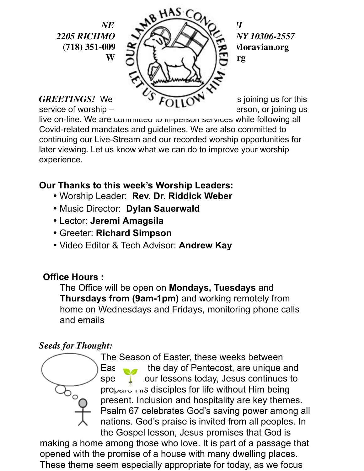

live on-line. We are committed to in-person services while following all Covid-related mandates and guidelines. We are also committed to continuing our Live-Stream and our recorded worship opportunities for later viewing. Let us know what we can do to improve your worship experience.

**Our Thanks to this week's Worship Leaders:**

- Worship Leader: **Rev. Dr. Riddick Weber**
- Music Director: **Dylan Sauerwald**
- Lector: **Jeremi Amagsila**
- Greeter: **Richard Simpson**
- Video Editor & Tech Advisor: **Andrew Kay**

## **Office Hours :**

The Office will be open on **Mondays, Tuesdays** and **Thursdays from (9am-1pm)** and working remotely from home on Wednesdays and Fridays, monitoring phone calls and emails

## *Seeds for Thought:*

The Season of Easter, these weeks between Eas  $\bullet$  the day of Pentecost, are unique and special. In our lessons today, Jesus continues to  $prepace_{\text{red}}$  ins disciples for life without Him being present. Inclusion and hospitality are key themes. Psalm 67 celebrates God's saving power among all nations. God's praise is invited from all peoples. In the Gospel lesson, Jesus promises that God is

making a home among those who love. It is part of a passage that opened with the promise of a house with many dwelling places. These theme seem especially appropriate for today, as we focus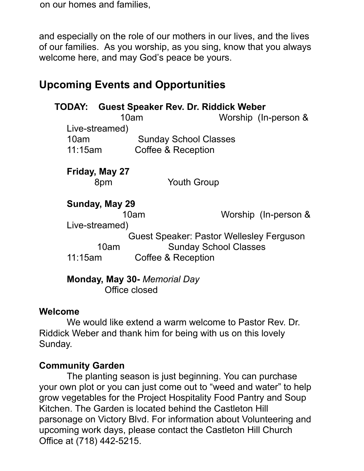on our homes and families,

and especially on the role of our mothers in our lives, and the lives of our families. As you worship, as you sing, know that you always welcome here, and may God's peace be yours.

# **Upcoming Events and Opportunities**

|         |                | <b>TODAY: Guest Speaker Rev. Dr. Riddick Weber</b> |                              |                      |
|---------|----------------|----------------------------------------------------|------------------------------|----------------------|
|         |                | 10am                                               |                              | Worship (In-person & |
|         | Live-streamed) |                                                    |                              |                      |
| 10am    |                | <b>Sunday School Classes</b>                       |                              |                      |
| 11:15am |                | Coffee & Reception                                 |                              |                      |
|         | Friday, May 27 |                                                    |                              |                      |
|         | 8pm            |                                                    | <b>Youth Group</b>           |                      |
|         | Sunday, May 29 |                                                    |                              |                      |
|         |                | 10am                                               |                              | Worship (In-person & |
|         |                |                                                    |                              |                      |
|         | Live-streamed) |                                                    |                              |                      |
|         |                | Guest Speaker: Pastor Wellesley Ferguson           |                              |                      |
|         | 10am           |                                                    | <b>Sunday School Classes</b> |                      |

#### **Welcome**

We would like extend a warm welcome to Pastor Rev. Dr. Riddick Weber and thank him for being with us on this lovely Sunday.

## **Community Garden**

The planting season is just beginning. You can purchase your own plot or you can just come out to "weed and water" to help grow vegetables for the Project Hospitality Food Pantry and Soup Kitchen. The Garden is located behind the Castleton Hill parsonage on Victory Blvd. For information about Volunteering and upcoming work days, please contact the Castleton Hill Church Office at (718) 442-5215.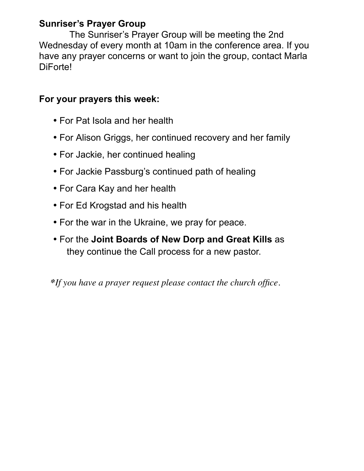## **Sunriser's Prayer Group**

The Sunriser's Prayer Group will be meeting the 2nd Wednesday of every month at 10am in the conference area. If you have any prayer concerns or want to join the group, contact Marla DiForte!

## **For your prayers this week:**

- For Pat Isola and her health
- For Alison Griggs, her continued recovery and her family
- For Jackie, her continued healing
- For Jackie Passburg's continued path of healing
- For Cara Kay and her health
- For Ed Krogstad and his health
- For the war in the Ukraine, we pray for peace.
- For the **Joint Boards of New Dorp and Great Kills** as they continue the Call process for a new pastor.

 *\*If you have a prayer request please contact the church office.*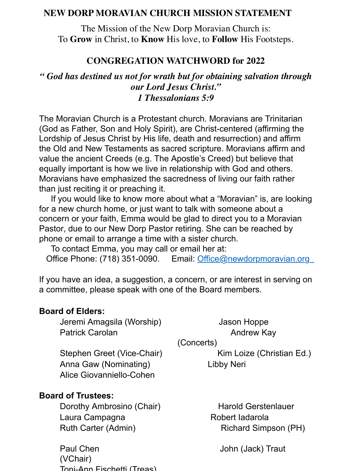#### **NEW DORP MORAVIAN CHURCH MISSION STATEMENT**

The Mission of the New Dorp Moravian Church is: To **Grow** in Christ, to **Know** His love, to **Follow** His Footsteps.

#### **CONGREGATION WATCHWORD for 2022**

*" God has destined us not for wrath but for obtaining salvation through our Lord Jesus Christ." 1 Thessalonians 5:9*

The Moravian Church is a Protestant church. Moravians are Trinitarian (God as Father, Son and Holy Spirit), are Christ-centered (affirming the Lordship of Jesus Christ by His life, death and resurrection) and affirm the Old and New Testaments as sacred scripture. Moravians affirm and value the ancient Creeds (e.g. The Apostle's Creed) but believe that equally important is how we live in relationship with God and others. Moravians have emphasized the sacredness of living our faith rather than just reciting it or preaching it.

 If you would like to know more about what a "Moravian" is, are looking for a new church home, or just want to talk with someone about a concern or your faith, Emma would be glad to direct you to a Moravian Pastor, due to our New Dorp Pastor retiring. She can be reached by phone or email to arrange a time with a sister church.

To contact Emma, you may call or email her at:

Office Phone: (718) 351-0090. Email: Office@newdorpmoravian.org

If you have an idea, a suggestion, a concern, or are interest in serving on a committee, please speak with one of the Board members.

#### **Board of Elders:**

Jeremi Amagsila (Worship) Jason Hoppe Patrick Carolan **Andrew Kay** 

(Concerts)

Stephen Greet (Vice-Chair) Kim Loize (Christian Ed.) Anna Gaw (Nominating) Libby Neri Alice Giovanniello-Cohen

#### **Board of Trustees:**

Dorothy Ambrosino (Chair) Harold Gerstenlauer Laura Campagna **Robert Iadarola** Ruth Carter (Admin) Richard Simpson (PH)

Paul Chen John (Jack) Traut (VChair) Toni-Ann Fischetti (Treas)